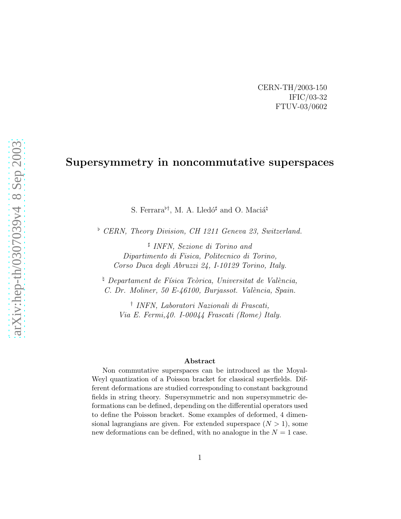CERN-TH/2003-150 IFIC/03-32 FTUV-03/0602

## Supersymmetry in noncommutative superspaces

S. Ferrara<sup> $\flat$ †</sup>, M. A. Lledó<sup>‡</sup> and O. Maciá<sup> $\natural$ </sup>

♭ *CERN, Theory Division, CH 1211 Geneva 23, Switzerland.*

♯ *INFN, Sezione di Torino and Dipartimento di Fisica, Politecnico di Torino, Corso Duca degli Abruzzi 24, I-10129 Torino, Italy.*

<sup>¢</sup> *Departament de Física Teòrica, Universitat de València, C. Dr. Moliner, 50 E-46100, Burjassot. Val`encia, Spain.*

† *INFN, Laboratori Nazionali di Frascati, Via E. Fermi,40. I-00044 Frascati (Rome) Italy.*

#### Abstract

Non commutative superspaces can be introduced as the Moyal-Weyl quantization of a Poisson bracket for classical superfields. Different deformations are studied corresponding to constant background fields in string theory. Supersymmetric and non supersymmetric deformations can be defined, depending on the differential operators used to define the Poisson bracket. Some examples of deformed, 4 dimensional lagrangians are given. For extended superspace  $(N > 1)$ , some new deformations can be defined, with no analogue in the  $N = 1$  case.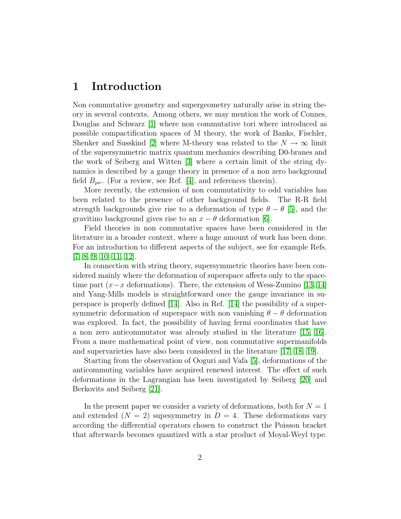### 1 Introduction

Non commutative geometry and supergeometry naturally arise in string theory in several contexts. Among others, we may mention the work of Connes, Douglas and Schwarz [\[1\]](#page-20-0) where non commutative tori where introduced as possible compactification spaces of M theory, the work of Banks, Fischler, Shenker and Susskind [\[2\]](#page-20-1) where M-theory was related to the  $N \to \infty$  limit of the supersymmetric matrix quantum mechanics describing D0-branes and the work of Seiberg and Witten [\[3\]](#page-20-2) where a certain limit of the string dynamics is described by a gauge theory in presence of a non zero background field  $B_{\mu\nu}$ . (For a review, see Ref. [\[4\]](#page-20-3), and references therein).

More recently, the extension of non commutativity to odd variables has been related to the presence of other background fields. The R-R field strength backgrounds give rise to a deformation of type  $\theta - \theta$  [\[5\]](#page-20-4), and the gravitino background gives rise to an  $x - \theta$  deformation [\[6\]](#page-20-5).

Field theories in non commutative spaces have been considered in the literature in a broader context, where a huge amount of work has been done. For an introduction to different aspects of the subject, see for example Refs. [\[7,](#page-21-0) [8,](#page-21-1) [9,](#page-21-2) [10,](#page-21-3) [11,](#page-21-4) [12\]](#page-21-5).

In connection with string theory, supersymmetric theories have been considered mainly where the deformation of superspace affects only to the spacetime part  $(x-x)$  deformations). There, the extension of Wess-Zumino [\[13,](#page-21-6) [14\]](#page-21-7) and Yang-Mills models is straightforward once the gauge invariance in superspace is properly defined [\[14\]](#page-21-7). Also in Ref. [\[14\]](#page-21-7) the possibility of a supersymmetric deformation of superspace with non vanishing  $\theta - \theta$  deformation was explored. In fact, the possibility of having fermi coordinates that have a non zero anticommutator was already studied in the literature [\[15,](#page-21-8) [16\]](#page-21-9). From a more mathematical point of view, non commutative supermanifolds and supervarieties have also been considered in the literature [\[17,](#page-21-10) [18,](#page-21-11) [19\]](#page-21-12).

Starting from the observation of Ooguri and Vafa [\[5\]](#page-20-4), deformations of the anticommuting variables have acquired renewed interest. The effect of such deformations in the Lagrangian has been investigated by Seiberg [\[20\]](#page-22-0) and Berkovits and Seiberg [\[21\]](#page-22-1).

In the present paper we consider a variety of deformations, both for  $N = 1$ and extended  $(N = 2)$  supesymmetry in  $D = 4$ . These deformations vary according the differential operators chosen to construct the Poisson bracket that afterwards becomes quantized with a star product of Moyal-Weyl type.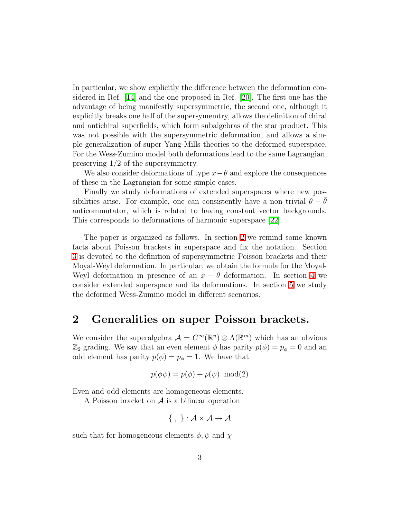In particular, we show explicitly the difference between the deformation considered in Ref. [\[14\]](#page-21-7) and the one proposed in Ref. [\[20\]](#page-22-0). The first one has the advantage of being manifestly supersymmetric, the second one, although it explicitly breaks one half of the supersymemtry, allows the definition of chiral and antichiral superfields, which form subalgebras of the star product. This was not possible with the supersymmetric deformation, and allows a simple generalization of super Yang-Mills theories to the deformed superspace. For the Wess-Zumino model both deformations lead to the same Lagrangian, preserving 1/2 of the supersymmetry.

We also consider deformations of type  $x-\theta$  and explore the consequences of these in the Lagrangian for some simple cases.

Finally we study deformations of extended superspaces where new possibilities arise. For example, one can consistently have a non trivial  $\theta - \theta$ anticommutator, which is related to having constant vector backgrounds. This corresponds to deformations of harmonic superspace [\[22\]](#page-22-2).

The paper is organized as follows. In section [2](#page-2-0) we remind some known facts about Poisson brackets in superspace and fix the notation. Section [3](#page-4-0) is devoted to the definition of supersymmetric Poisson brackets and their Moyal-Weyl deformation. In particular, we obtain the formula for the Moyal-Weyl deformation in presence of an  $x - \theta$  deformation. In section [4](#page-11-0) we consider extended superspace and its deformations. In section [5](#page-13-0) we study the deformed Wess-Zumino model in different scenarios.

### <span id="page-2-0"></span>2 Generalities on super Poisson brackets.

We consider the superalgebra  $\mathcal{A} = C^{\infty}(\mathbb{R}^n) \otimes \Lambda(\mathbb{R}^m)$  which has an obvious  $\mathbb{Z}_2$  grading. We say that an even element  $\phi$  has parity  $p(\phi) = p_{\phi} = 0$  and an odd element has parity  $p(\phi) = p_{\phi} = 1$ . We have that

$$
p(\phi\psi) = p(\phi) + p(\psi) \mod(2)
$$

Even and odd elements are homogeneous elements.

A Poisson bracket on  $A$  is a bilinear operation

$$
\{ , \} : \mathcal{A} \times \mathcal{A} \to \mathcal{A}
$$

such that for homogeneous elements  $\phi, \psi$  and  $\chi$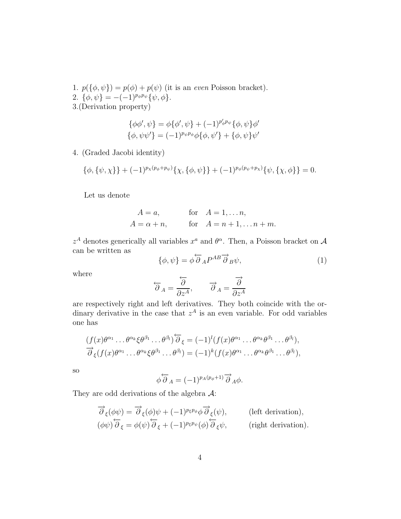- 1.  $p(\{\phi, \psi\}) = p(\phi) + p(\psi)$  (it is an *even* Poisson bracket).
- 2.  $\{\phi, \psi\} = -(-1)^{p_{\phi}p_{\psi}}\{\psi, \phi\}.$
- 3.(Derivation property)

$$
\{\phi\phi', \psi\} = \phi\{\phi', \psi\} + (-1)^{p'_{\phi}p_{\psi}}\{\phi, \psi\}\phi'
$$

$$
\{\phi, \psi\psi'\} = (-1)^{p_{\psi}p_{\phi}}\phi\{\phi, \psi'\} + \{\phi, \psi\}\psi'
$$

4. (Graded Jacobi identity)

$$
\{\phi, \{\psi, \chi\}\} + (-1)^{p_{\chi}(p_{\phi} + p_{\psi})} \{\chi, \{\phi, \psi\}\} + (-1)^{p_{\phi}(p_{\psi} + p_{\chi})} \{\psi, \{\chi, \phi\}\} = 0.
$$

Let us denote

$$
A = a,
$$
 for  $A = 1, \ldots n,$   

$$
A = \alpha + n,
$$
 for  $A = n + 1, \ldots n + m.$ 

 $z^A$  denotes generically all variables  $x^a$  and  $\theta^{\alpha}$ . Then, a Poisson bracket on A can be written as

$$
\{\phi,\psi\} = \phi \overleftarrow{\partial}_A P^{AB} \overrightarrow{\partial}_B \psi,\tag{1}
$$

where

$$
\overleftarrow{\partial}_A = \frac{\overleftarrow{\partial}}{\partial z^A}, \qquad \overrightarrow{\partial}_A = \frac{\overrightarrow{\partial}}{\partial z^A}
$$

are respectively right and left derivatives. They both coincide with the ordinary derivative in the case that  $z^A$  is an even variable. For odd variables one has

$$
(f(x)\theta^{\alpha_1}\dots\theta^{\alpha_k}\xi\theta^{\beta_1}\dots\theta^{\beta_l})\overleftarrow{\partial}_{\xi}=(-1)^l(f(x)\theta^{\alpha_1}\dots\theta^{\alpha_k}\theta^{\beta_1}\dots\theta^{\beta_l}),
$$
  

$$
\overrightarrow{\partial}_{\xi}(f(x)\theta^{\alpha_1}\dots\theta^{\alpha_k}\xi\theta^{\beta_1}\dots\theta^{\beta_l})=(-1)^k(f(x)\theta^{\alpha_1}\dots\theta^{\alpha_k}\theta^{\beta_1}\dots\theta^{\beta_l}),
$$

so

$$
\phi \overleftarrow{\partial}_A = (-1)^{p_A(p_\phi+1)} \overrightarrow{\partial}_A \phi.
$$

They are odd derivations of the algebra  $A$ :

$$
\overrightarrow{\partial}_{\xi}(\phi\psi) = \overrightarrow{\partial}_{\xi}(\phi)\psi + (-1)^{p_{\xi}p_{\phi}}\overrightarrow{\partial}_{\xi}(\psi), \qquad \text{(left derivation)},
$$
  

$$
(\phi\psi)\overleftarrow{\partial}_{\xi} = \phi(\psi)\overleftarrow{\partial}_{\xi} + (-1)^{p_{\xi}p_{\psi}}(\phi)\overleftarrow{\partial}_{\xi}\psi, \qquad \text{(right derivation)}.
$$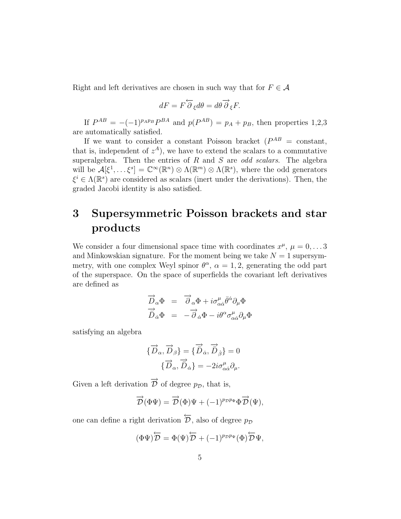Right and left derivatives are chosen in such way that for  $F \in \mathcal{A}$ 

$$
dF = F \overleftarrow{\partial}_{\xi} d\theta = d\theta \overrightarrow{\partial}_{\xi} F.
$$

If  $P^{AB} = -(-1)^{p_{A}p_{B}}P^{BA}$  and  $p(P^{AB}) = p_{A} + p_{B}$ , then properties 1,2,3 are automatically satisfied.

If we want to consider a constant Poisson bracket  $(P^{AB} = \text{constant},$ that is, independent of  $z^A$ ), we have to extend the scalars to a commutative superalgebra. Then the entries of R and S are *odd scalars*. The algebra will be  $\mathcal{A}[\xi^1,\ldots\xi^s] = \mathbb{C}^\infty(\mathbb{R}^n) \otimes \Lambda(\mathbb{R}^m) \otimes \Lambda(\mathbb{R}^s)$ , where the odd generators  $\xi^i \in \Lambda(\mathbb{R}^s)$  are considered as scalars (inert under the derivations). Then, the graded Jacobi identity is also satisfied.

## <span id="page-4-0"></span>3 Supersymmetric Poisson brackets and star products

We consider a four dimensional space time with coordinates  $x^{\mu}$ ,  $\mu = 0, \ldots 3$ and Minkowskian signature. For the moment being we take  $N = 1$  supersymmetry, with one complex Weyl spinor  $\theta^{\alpha}$ ,  $\alpha = 1, 2$ , generating the odd part of the superspace. On the space of superfields the covariant left derivatives are defined as

$$
\overrightarrow{D}_{\alpha}\Phi = \overrightarrow{\partial}_{\alpha}\Phi + i\sigma^{\mu}_{\alpha\dot{\alpha}}\overrightarrow{\theta}^{\dot{\alpha}}\partial_{\mu}\Phi
$$

$$
\overrightarrow{D}_{\dot{\alpha}}\Phi = -\overrightarrow{\partial}_{\dot{\alpha}}\Phi - i\theta^{\alpha}\sigma^{\mu}_{\alpha\dot{\alpha}}\partial_{\mu}\Phi
$$

satisfying an algebra

$$
\{\overrightarrow{D}_{\alpha},\overrightarrow{D}_{\beta}\}=\{\overrightarrow{\overrightarrow{D}}_{\dot{\alpha}},\overrightarrow{\overrightarrow{D}}_{\dot{\beta}}\}=0
$$

$$
\{\overrightarrow{D}_{\alpha},\overrightarrow{\overrightarrow{D}}_{\dot{\alpha}}\}=-2i\sigma^{\mu}_{\alpha\dot{\alpha}}\partial_{\mu}.
$$

Given a left derivation  $\overrightarrow{\mathcal{D}}$  of degree  $p_{\mathcal{D}}$ , that is,

$$
\overrightarrow{\mathcal{D}}(\Phi\Psi) = \overrightarrow{\mathcal{D}}(\Phi)\Psi + (-1)^{p_{\mathcal{D}}p_{\Phi}}\Phi\overrightarrow{\mathcal{D}}(\Psi),
$$

one can define a right derivation  $\overleftarrow{\mathcal{D}}$ , also of degree  $p_{\mathcal{D}}$ 

$$
(\Phi\Psi)\overleftarrow{\mathcal{D}} = \Phi(\Psi)\overleftarrow{\mathcal{D}} + (-1)^{p_{\mathcal{D}}p_{\Psi}}(\Phi)\overleftarrow{\mathcal{D}}\Psi,
$$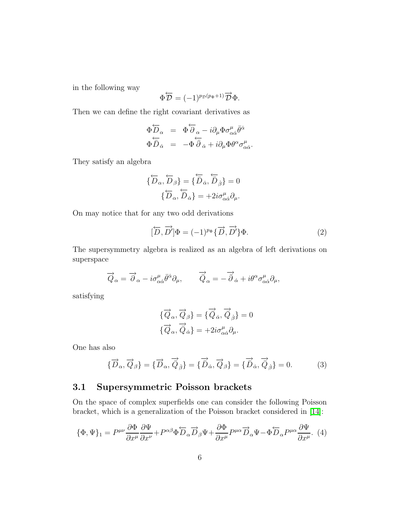in the following way

$$
\Phi \overleftarrow{\mathcal{D}} = (-1)^{p_{\mathcal{D}}(p_{\Phi}+1)} \overrightarrow{\mathcal{D}} \Phi.
$$

Then we can define the right covariant derivatives as

$$
\begin{array}{rcl}\n\Phi \overleftarrow{D}_{\alpha} & = & \Phi \overleftarrow{\partial}_{\alpha} - i \partial_{\mu} \Phi \sigma^{\mu}_{\alpha \dot{\alpha}} \bar{\theta}^{\dot{\alpha}} \\
\Phi \overleftarrow{D}_{\dot{\alpha}} & = & - \Phi \overleftarrow{\partial}_{\dot{\alpha}} + i \partial_{\mu} \Phi \theta^{\alpha} \sigma^{\mu}_{\alpha \dot{\alpha}}.\n\end{array}
$$

They satisfy an algebra

$$
\{\overleftarrow{D}_{\alpha}, \overleftarrow{D}_{\beta}\} = \{\overleftarrow{D}_{\dot{\alpha}}, \overleftarrow{D}_{\dot{\beta}}\} = 0
$$

$$
\{\overleftarrow{D}_{\alpha}, \overleftarrow{D}_{\dot{\alpha}}\} = +2i\sigma^{\mu}_{\alpha\dot{\alpha}}\partial_{\mu}.
$$

On may notice that for any two odd derivations

<span id="page-5-0"></span>
$$
[\overleftrightarrow{D}, \overrightarrow{D}]\Phi = (-1)^{p_{\Phi}} {\overrightarrow{D}, \overrightarrow{D}}\Phi. \tag{2}
$$

The supersymmetry algebra is realized as an algebra of left derivations on superspace

$$
\overrightarrow{Q}_{\alpha} = \overrightarrow{\partial}_{\alpha} - i\sigma^{\mu}_{\alpha\dot{\alpha}}\overrightarrow{\theta}^{\dot{\alpha}}\partial_{\mu}, \qquad \overrightarrow{\hat{Q}}_{\alpha} = -\overrightarrow{\hat{\partial}}_{\dot{\alpha}} + i\theta^{\alpha}\sigma^{\mu}_{\alpha\dot{\alpha}}\partial_{\mu},
$$

satisfying

<span id="page-5-2"></span>
$$
\{\overrightarrow{Q}_{\alpha}, \overrightarrow{Q}_{\beta}\} = \{\overrightarrow{Q}_{\dot{\alpha}}, \overrightarrow{Q}_{\dot{\beta}}\} = 0
$$
  

$$
\{\overrightarrow{Q}_{\alpha}, \overrightarrow{\tilde{Q}}_{\dot{\alpha}}\} = +2i\sigma^{\mu}_{\alpha\dot{\alpha}}\partial_{\mu}.
$$

<span id="page-5-1"></span>One has also

$$
\{\overrightarrow{D}_{\alpha},\overrightarrow{Q}_{\beta}\} = \{\overrightarrow{D}_{\alpha},\overrightarrow{\hat{Q}}_{\dot{\beta}}\} = \{\overrightarrow{\hat{D}}_{\dot{\alpha}},\overrightarrow{Q}_{\beta}\} = \{\overrightarrow{\hat{D}}_{\dot{\alpha}},\overrightarrow{\hat{Q}}_{\dot{\beta}}\} = 0. \tag{3}
$$

#### 3.1 Supersymmetric Poisson brackets

On the space of complex superfields one can consider the following Poisson bracket, which is a generalization of the Poisson bracket considered in [\[14\]](#page-21-7):

$$
\{\Phi,\Psi\}_1 = P^{\mu\nu}\frac{\partial\Phi}{\partial x^{\mu}}\frac{\partial\Psi}{\partial x^{\nu}} + P^{\alpha\beta}\Phi\overleftrightarrow{D}_{\alpha}\overrightarrow{D}_{\beta}\Psi + \frac{\partial\Phi}{\partial x^{\mu}}P^{\mu\alpha}\overrightarrow{D}_{\alpha}\Psi - \Phi\overleftrightarrow{D}_{\alpha}P^{\mu\alpha}\frac{\partial\Psi}{\partial x^{\mu}}.\tag{4}
$$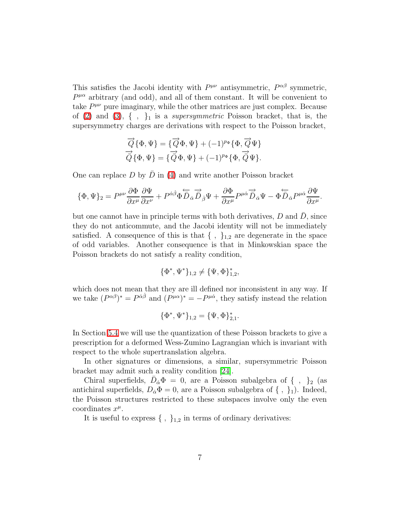This satisfies the Jacobi identity with  $P^{\mu\nu}$  antisymmetric,  $P^{\alpha\beta}$  symmetric,  $P^{\mu\alpha}$  arbitrary (and odd), and all of them constant. It will be convenient to take  $P^{\mu\nu}$  pure imaginary, while the other matrices are just complex. Because of  $(2)$  and  $(3)$ ,  $\{ \}$ ,  $\}$ <sub>1</sub> is a *supersymmetric* Poisson bracket, that is, the supersymmetry charges are derivations with respect to the Poisson bracket,

$$
\overrightarrow{Q}\{\Phi,\Psi\} = \{\overrightarrow{Q}\Phi,\Psi\} + (-1)^{p_{\Phi}}\{\Phi,\overrightarrow{Q}\Psi\}
$$

$$
\overrightarrow{Q}\{\Phi,\Psi\} = \{\overrightarrow{Q}\Phi,\Psi\} + (-1)^{p_{\Phi}}\{\Phi,\overrightarrow{Q}\Psi\}.
$$

One can replace  $D$  by  $\overline{D}$  in [\(4\)](#page-5-2) and write another Poisson bracket

$$
\{\Phi,\Psi\}_2 = P^{\mu\nu}\frac{\partial \Phi}{\partial x^\mu}\frac{\partial \Psi}{\partial x^\nu} + P^{\dot{\alpha}\dot{\beta}}\Phi \overleftrightarrow{\overline{D}}_{\dot{\alpha}}\overrightarrow{\overline{D}}_{\dot{\beta}}\Psi + \frac{\partial \Phi}{\partial x^\mu}P^{\mu\dot{\alpha}}\overrightarrow{\overline{D}}_{\dot{\alpha}}\Psi - \Phi \overleftarrow{\overline{D}}_{\dot{\alpha}}P^{\mu\dot{\alpha}}\frac{\partial \Psi}{\partial x^\mu}.
$$

but one cannot have in principle terms with both derivatives,  $D$  and  $\bar{D}$ , since they do not anticommute, and the Jacobi identity will not be immediately satisfied. A consequence of this is that  $\{ , \}$ <sub>1,2</sub> are degenerate in the space of odd variables. Another consequence is that in Minkowskian space the Poisson brackets do not satisfy a reality condition,

$$
\{\Phi^*,\Psi^*\}_{1,2}\neq\{\Psi,\Phi\}_{1,2}^*,
$$

which does not mean that they are ill defined nor inconsistent in any way. If we take  $(P^{\alpha\beta})^* = P^{\dot{\alpha}\dot{\beta}}$  and  $(P^{\mu\alpha})^* = -P^{\mu\dot{\alpha}}$ , they satisfy instead the relation

$$
\{\Phi^*,\Psi^*\}_{1,2}=\{\Psi,\Phi\}_{2,1}^*.
$$

In Section [5.4](#page-18-0) we will use the quantization of these Poisson brackets to give a prescription for a deformed Wess-Zumino Lagrangian which is invariant with respect to the whole supertranslation algebra.

In other signatures or dimensions, a similar, supersymmetric Poisson bracket may admit such a reality condition [\[24\]](#page-22-3).

Chiral superfields,  $\bar{D}_{\dot{\alpha}}\Phi = 0$ , are a Poisson subalgebra of { , }<sub>2</sub> (as antichiral superfields,  $D_{\dot{\alpha}}\Phi = 0$ , are a Poisson subalgebra of  $\{\ ,\ \}_1$ ). Indeed, the Poisson structures restricted to these subspaces involve only the even coordinates  $x^{\mu}$ .

It is useful to express  $\{ , \}$ <sub>1,2</sub> in terms of ordinary derivatives: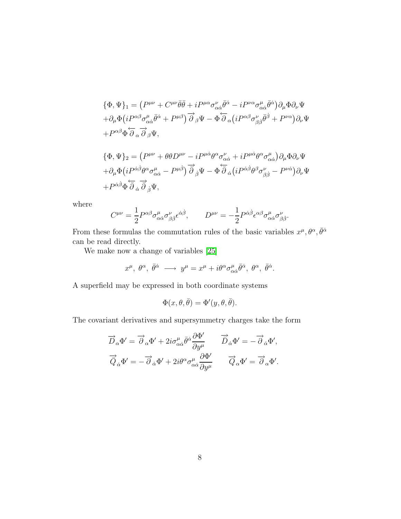$$
\begin{split}\n\{\Phi, \Psi\}_1 &= \left(P^{\mu\nu} + C^{\mu\nu}\bar{\theta}\bar{\theta} + iP^{\mu\alpha}\sigma^{\nu}_{\alpha\dot{\alpha}}\bar{\theta}^{\dot{\alpha}} - iP^{\nu\alpha}\sigma^{\mu}_{\alpha\dot{\alpha}}\bar{\theta}^{\dot{\alpha}}\right)\partial_{\mu}\Phi\partial_{\nu}\Psi \\
&+ \partial_{\mu}\Phi\left(iP^{\alpha\beta}\sigma^{\mu}_{\alpha\dot{\alpha}}\bar{\theta}^{\dot{\alpha}} + P^{\mu\beta}\right)\overrightarrow{\partial}_{\beta}\Psi - \Phi\overleftarrow{\partial}_{\alpha}\left(iP^{\alpha\beta}\sigma^{\nu}_{\beta\dot{\beta}}\bar{\theta}^{\dot{\beta}} + P^{\nu\alpha}\right)\partial_{\nu}\Psi \\
&+ P^{\alpha\beta}\Phi\overleftarrow{\partial}_{\alpha}\overrightarrow{\partial}_{\beta}\Psi,\n\end{split}
$$

$$
\begin{split} \{\Phi,\Psi\}_{2} &= \left(P^{\mu\nu} + \theta\theta D^{\mu\nu} - iP^{\mu\dot{\alpha}}\theta^{\alpha}\sigma^{\nu}_{\alpha\dot{\alpha}} + iP^{\mu\dot{\alpha}}\theta^{\alpha}\sigma^{\mu}_{\alpha\dot{\alpha}}\right)\partial_{\mu}\Phi\partial_{\nu}\Psi \\ & + \partial_{\mu}\Phi\left(iP^{\dot{\alpha}\dot{\beta}}\theta^{\alpha}\sigma^{\mu}_{\alpha\dot{\alpha}} - P^{\mu\dot{\beta}}\right)\overrightarrow{\partial}_{\dot{\beta}}\Psi - \Phi\overleftarrow{\partial}_{\dot{\alpha}}\left(iP^{\dot{\alpha}\dot{\beta}}\theta^{\beta}\sigma^{\nu}_{\beta\dot{\beta}} - P^{\nu\dot{\alpha}}\right)\partial_{\nu}\Psi \\ & + P^{\dot{\alpha}\dot{\beta}}\Phi\overleftarrow{\partial}_{\dot{\alpha}}\overrightarrow{\partial}_{\dot{\beta}}\Psi, \end{split}
$$

where

$$
C^{\mu\nu} = \frac{1}{2} P^{\alpha\beta} \sigma^{\mu}_{\alpha\dot{\alpha}} \sigma^{\nu}_{\beta\dot{\beta}} \epsilon^{\dot{\alpha}\dot{\beta}}, \qquad D^{\mu\nu} = -\frac{1}{2} P^{\dot{\alpha}\dot{\beta}} \epsilon^{\alpha\beta} \sigma^{\mu}_{\alpha\dot{\alpha}} \sigma^{\nu}_{\beta\dot{\beta}}
$$

.

From these formulas the commutation rules of the basic variables  $x^{\mu}, \theta^{\alpha}, \bar{\theta}^{\dot{\alpha}}$ can be read directly.

We make now a change of variables [\[25\]](#page-22-4)

$$
x^{\mu}
$$
,  $\theta^{\alpha}$ ,  $\bar{\theta}^{\dot{\alpha}}$   $\longrightarrow y^{\mu} = x^{\mu} + i\theta^{\alpha}\sigma_{\alpha\dot{\alpha}}^{\mu}\bar{\theta}^{\dot{\alpha}}$ ,  $\theta^{\alpha}$ ,  $\bar{\theta}^{\dot{\alpha}}$ .

A superfield may be expressed in both coordinate systems

$$
\Phi(x,\theta,\bar{\theta}) = \Phi'(y,\theta,\bar{\theta}).
$$

The covariant derivatives and supersymmetry charges take the form

$$
\overrightarrow{D}_{\alpha}\Phi' = \overrightarrow{\partial}_{\alpha}\Phi' + 2i\sigma^{\mu}_{\alpha\dot{\alpha}}\overrightarrow{\theta}^{\dot{\alpha}}\frac{\partial\Phi'}{\partial y^{\mu}} \qquad \overrightarrow{\overrightarrow{D}}_{\dot{\alpha}}\Phi' = -\overrightarrow{\partial}_{\dot{\alpha}}\Phi',
$$

$$
\overrightarrow{\overrightarrow{Q}}_{\dot{\alpha}}\Phi' = -\overrightarrow{\partial}_{\dot{\alpha}}\Phi' + 2i\theta^{\alpha}\sigma^{\mu}_{\alpha\dot{\alpha}}\frac{\partial\Phi'}{\partial y^{\mu}} \qquad \overrightarrow{Q}_{\alpha}\Phi' = \overrightarrow{\partial}_{\alpha}\Phi'.
$$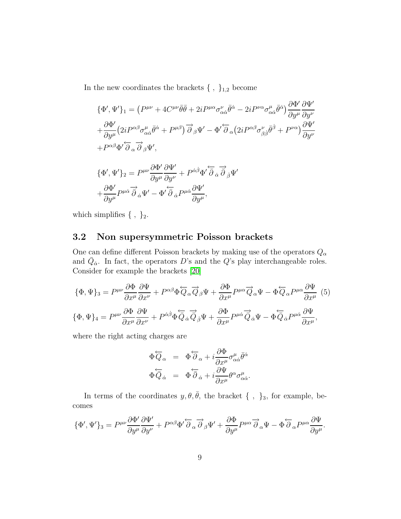In the new coordinates the brackets  $\{ , \}$ <sub>1,2</sub> become

$$
\{\Phi',\Psi'\}_1 = \left(P^{\mu\nu} + 4C^{\mu\nu}\bar{\theta}\bar{\theta} + 2iP^{\mu\alpha}\sigma^{\nu}_{\alpha\dot{\alpha}}\bar{\theta}^{\dot{\alpha}} - 2iP^{\nu\alpha}\sigma^{\mu}_{\alpha\dot{\alpha}}\bar{\theta}^{\dot{\alpha}}\right)\frac{\partial\Phi'}{\partial y^{\mu}}\frac{\partial\Psi'}{\partial y^{\nu}} \n+ \frac{\partial\Phi'}{\partial y^{\mu}} \left(2iP^{\alpha\beta}\sigma^{\mu}_{\alpha\dot{\alpha}}\bar{\theta}^{\dot{\alpha}} + P^{\mu\beta}\right)\overrightarrow{\partial}_{\beta}\Psi' - \Phi'\overleftarrow{\partial}_{\alpha}\left(2iP^{\alpha\beta}\sigma^{\nu}_{\beta\dot{\beta}}\bar{\theta}^{\dot{\beta}} + P^{\nu\alpha}\right)\frac{\partial\Psi'}{\partial y^{\nu}} \n+ P^{\alpha\beta}\Phi'\overleftarrow{\partial}_{\alpha}\overrightarrow{\partial}_{\beta}\Psi', \n\{\Phi',\Psi'\}_2 = P^{\mu\nu}\frac{\partial\Phi'}{\partial y^{\mu}}\frac{\partial\Psi'}{\partial y^{\nu}} + P^{\alpha\dot{\beta}}\Phi'\overleftarrow{\partial}_{\dot{\alpha}}\overrightarrow{\partial}_{\dot{\beta}}\Psi' \n+ \frac{\partial\Phi'}{\partial y^{\mu}}P^{\mu\dot{\alpha}}\overrightarrow{\partial}_{\dot{\alpha}}\Psi' - \Phi'\overleftarrow{\partial}_{\dot{\alpha}}P^{\mu\dot{\alpha}}\frac{\partial\Psi'}{\partial y^{\mu}},
$$

<span id="page-8-0"></span>which simplifies  $\{\ ,\ \}_2$ .

#### 3.2 Non supersymmetric Poisson brackets

One can define different Poisson brackets by making use of the operators  $Q_\alpha$ and  $\overline{Q}_{\dot{\alpha}}$ . In fact, the operators D's and the Q's play interchangeable roles. Consider for example the brackets [\[20\]](#page-22-0)

<span id="page-8-1"></span>
$$
\{\Phi, \Psi\}_3 = P^{\mu\nu}\frac{\partial \Phi}{\partial x^{\mu}} \frac{\partial \Psi}{\partial x^{\nu}} + P^{\alpha\beta} \Phi \overleftrightarrow{Q}_{\alpha} \overrightarrow{Q}_{\beta} \Psi + \frac{\partial \Phi}{\partial x^{\mu}} P^{\mu\alpha} \overrightarrow{Q}_{\alpha} \Psi - \Phi \overleftrightarrow{Q}_{\alpha} P^{\mu\alpha} \frac{\partial \Psi}{\partial x^{\mu}} (5)
$$
  

$$
\{\Phi, \Psi\}_4 = P^{\mu\nu} \frac{\partial \Phi}{\partial x^{\mu}} \frac{\partial \Psi}{\partial x^{\nu}} + P^{\dot{\alpha}\dot{\beta}} \Phi \overleftrightarrow{Q}_{\dot{\alpha}} \overrightarrow{Q}_{\dot{\beta}} \Psi + \frac{\partial \Phi}{\partial x^{\mu}} P^{\mu\dot{\alpha}} \overrightarrow{Q}_{\dot{\alpha}} \Psi - \Phi \overleftrightarrow{Q}_{\dot{\alpha}} P^{\mu\dot{\alpha}} \frac{\partial \Psi}{\partial x^{\mu}},
$$

where the right acting charges are

$$
\begin{array}{rcl}\n\Phi \overleftarrow{Q}_{\alpha} & = & \Phi \overleftarrow{\partial}_{\alpha} + i \frac{\partial \Phi}{\partial x^{\mu}} \sigma^{\mu}_{\alpha \dot{\alpha}} \overrightarrow{\theta}^{\dot{\alpha}} \\
\Phi \overleftarrow{\partial}_{\dot{\alpha}} & = & \Phi \overleftarrow{\partial}_{\dot{\alpha}} + i \frac{\partial \Psi}{\partial x^{\mu}} \theta^{\alpha} \sigma^{\mu}_{\alpha \dot{\alpha}}.\n\end{array}
$$

In terms of the coordinates  $y, \theta, \overline{\theta}$ , the bracket {, }<sub>3</sub>, for example, becomes

$$
\{\Phi',\Psi'\}_3 = P^{\mu\nu}\frac{\partial \Phi'}{\partial y^{\mu}}\frac{\partial \Psi'}{\partial y^{\nu}} + P^{\alpha\beta}\Phi'\overleftarrow{\partial}_{\alpha}\overrightarrow{\partial}_{\beta}\Psi' + \frac{\partial \Phi}{\partial y^{\mu}}P^{\mu\alpha}\overrightarrow{\partial}_{\alpha}\Psi - \Phi\overleftarrow{\partial}_{\alpha}P^{\mu\alpha}\frac{\partial \Psi}{\partial y^{\mu}}.
$$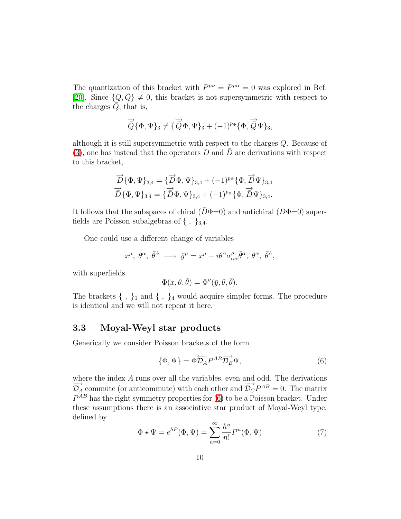The quantization of this bracket with  $P^{\mu\nu} = P^{\mu\alpha} = 0$  was explored in Ref. [\[20\]](#page-22-0). Since  $\{Q,\bar{Q}\}\neq 0$ , this bracket is not supersymmetric with respect to the charges  $Q$ , that is,

$$
\overrightarrow{\hat{Q}}\{\Phi,\Psi\}_3\neq\{\overrightarrow{\hat{Q}}\Phi,\Psi\}_3+(-1)^{p_{\Phi}}\{\Phi,\overrightarrow{\hat{Q}}\Psi\}_3,
$$

although it is still supersymmetric with respect to the charges Q. Because of  $(3)$ , one has instead that the operators D and D are derivations with respect to this bracket,

$$
\overrightarrow{D} \{\Phi, \Psi\}_{3,4} = \{\overrightarrow{D}\Phi, \Psi\}_{3,4} + (-1)^{p_{\Phi}} \{\Phi, \overrightarrow{D}\Psi\}_{3,4} \n\overrightarrow{D} \{\Phi, \Psi\}_{3,4} = \{\overrightarrow{D}\Phi, \Psi\}_{3,4} + (-1)^{p_{\Phi}} \{\Phi, \overrightarrow{D}\Psi\}_{3,4}.
$$

It follows that the subspaces of chiral  $(D\Phi=0)$  and antichiral  $(D\Phi=0)$  superfields are Poisson subalgebras of  $\{ , \}$ <sub>3,4</sub>.

One could use a different change of variables

$$
x^{\mu}
$$
,  $\theta^{\alpha}$ ,  $\bar{\theta}^{\dot{\alpha}}$   $\longrightarrow \bar{y}^{\mu} = x^{\mu} - i\theta^{\alpha}\sigma_{\alpha\dot{\alpha}}^{\mu}\bar{\theta}^{\dot{\alpha}}$ ,  $\theta^{\alpha}$ ,  $\bar{\theta}^{\dot{\alpha}}$ ,

with superfields

$$
\Phi(x,\theta,\bar{\theta}) = \Phi''(\bar{y},\theta,\bar{\theta}).
$$

The brackets  $\{\, ,\,\}_1$  and  $\{\, ,\,\}_4$  would acquire simpler forms. The procedure is identical and we will not repeat it here.

#### 3.3 Moyal-Weyl star products

Generically we consider Poisson brackets of the form

<span id="page-9-0"></span>
$$
\{\Phi, \Psi\} = \Phi \overleftarrow{\mathcal{D}_A} P^{AB} \overrightarrow{\mathcal{D}_B} \Psi,\tag{6}
$$

<span id="page-9-1"></span>where the index A runs over all the variables, even and odd. The derivations  $\overrightarrow{\mathcal{D}_A}$  commute (or anticommute) with each other and  $\overrightarrow{\mathcal{D}_C}P^{AB} = 0$ . The matrix  $P^{AB}$  has the right symmetry properties for [\(6\)](#page-9-0) to be a Poisson bracket. Under these assumptions there is an associative star product of Moyal-Weyl type, defined by

$$
\Phi \star \Psi = e^{hP}(\Phi, \Psi) = \sum_{n=0}^{\infty} \frac{h^n}{n!} P^n(\Phi, \Psi)
$$
 (7)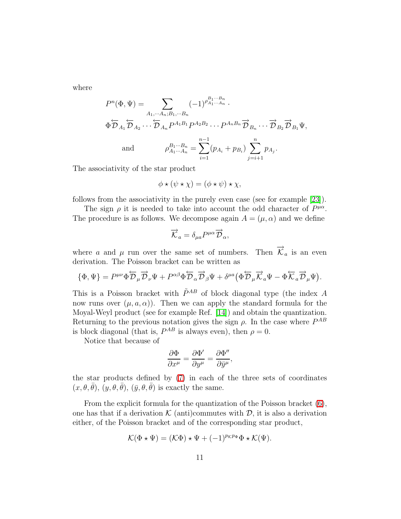where

$$
P^{n}(\Phi, \Psi) = \sum_{A_{1}, \dots, A_{n}; B_{1}, \dots, B_{n}} (-1)^{\rho_{A_{1} \dots A_{n}}^{B_{1} \dots B_{n}}} \Phi \overleftarrow{\mathcal{D}}_{A_{1}} \overleftarrow{\mathcal{D}}_{A_{2}} \cdots \overleftarrow{\mathcal{D}}_{A_{n}} P^{A_{1}B_{1}} P^{A_{2}B_{2}} \cdots P^{A_{n}B_{n}} \overrightarrow{\mathcal{D}}_{B_{n}} \cdots \overrightarrow{\mathcal{D}}_{B_{2}} \overrightarrow{\mathcal{D}}_{B_{1}} \Psi,
$$
  
and 
$$
\rho_{A_{1} \dots A_{n}}^{B_{1} \dots B_{n}} = \sum_{i=1}^{n-1} (p_{A_{i}} + p_{B_{i}}) \sum_{j=i+1}^{n} p_{A_{j}}.
$$

The associativity of the star product

$$
\phi \star (\psi \star \chi) = (\phi \star \psi) \star \chi,
$$

follows from the associativity in the purely even case (see for example [\[23\]](#page-22-5)).

The sign  $\rho$  it is needed to take into account the odd character of  $P^{\mu\alpha}$ . The procedure is as follows. We decompose again  $A = (\mu, \alpha)$  and we define

$$
\overrightarrow{\mathcal{K}}_{a} = \delta_{\mu a} P^{\mu \alpha} \overrightarrow{\mathcal{D}}_{\alpha},
$$

where a and  $\mu$  run over the same set of numbers. Then  $\vec{\mathcal{K}}_a$  is an even derivation. The Poisson bracket can be written as

$$
\{\Phi,\Psi\}=P^{\mu\nu}\Phi\overleftrightarrow{\mathcal{D}}_{\mu}\overrightarrow{\mathcal{D}}_{\nu}\Psi+P^{\alpha\beta}\Phi\overleftrightarrow{\mathcal{D}}_{\alpha}\overrightarrow{\mathcal{D}}_{\beta}\Psi+\delta^{\mu a}\big(\Phi\overleftrightarrow{\mathcal{D}}_{\mu}\overrightarrow{\mathcal{K}}_{a}\Psi-\Phi\overleftrightarrow{\mathcal{K}}_{a}\overrightarrow{\mathcal{D}}_{\mu}\Psi\big).
$$

This is a Poisson bracket with  $\tilde{P}^{AB}$  of block diagonal type (the index A now runs over  $(\mu, a, \alpha)$ . Then we can apply the standard formula for the Moyal-Weyl product (see for example Ref. [\[14\]](#page-21-7)) and obtain the quantization. Returning to the previous notation gives the sign  $\rho$ . In the case where  $P^{AB}$ is block diagonal (that is,  $P^{AB}$  is always even), then  $\rho = 0$ .

Notice that because of

$$
\frac{\partial \Phi}{\partial x^\mu} = \frac{\partial \Phi'}{\partial y^\mu} = \frac{\partial \Phi''}{\partial \bar{y}^\mu},
$$

the star products defined by [\(7\)](#page-9-1) in each of the three sets of coordinates  $(x, \theta, \bar{\theta}), (y, \theta, \bar{\theta}), (\bar{y}, \theta, \bar{\theta})$  is exactly the same.

From the explicit formula for the quantization of the Poisson bracket [\(6\)](#page-9-0), one has that if a derivation  $\mathcal K$  (anti)commutes with  $\mathcal D$ , it is also a derivation either, of the Poisson bracket and of the corresponding star product,

$$
\mathcal{K}(\Phi \star \Psi) = (\mathcal{K}\Phi) \star \Psi + (-1)^{p\kappa p_\Phi} \Phi \star \mathcal{K}(\Psi).
$$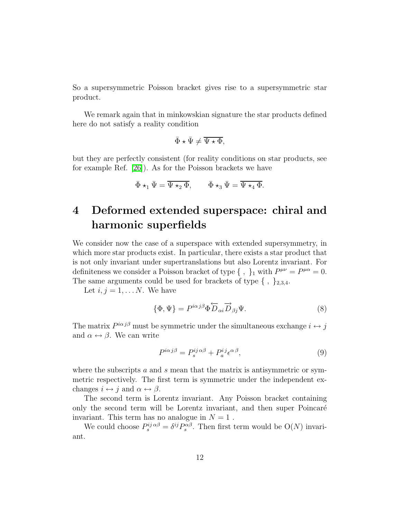So a supersymmetric Poisson bracket gives rise to a supersymmetric star product.

We remark again that in minkowskian signature the star products defined here do not satisfy a reality condition

$$
\bar{\Phi} \star \bar{\Psi} \neq \overline{\Psi \star \Phi},
$$

but they are perfectly consistent (for reality conditions on star products, see for example Ref. [\[26\]](#page-22-6)). As for the Poisson brackets we have

$$
\bar{\Phi} \star_1 \bar{\Psi} = \overline{\Psi \star_2 \Phi}, \qquad \bar{\Phi} \star_3 \bar{\Psi} = \overline{\Psi \star_4 \Phi}.
$$

## <span id="page-11-0"></span>4 Deformed extended superspace: chiral and harmonic superfields

We consider now the case of a superspace with extended supersymmetry, in which more star products exist. In particular, there exists a star product that is not only invariant under supertranslations but also Lorentz invariant. For definiteness we consider a Poisson bracket of type  $\{\ ,\ \}_1$  with  $P^{\mu\nu} = P^{\mu\alpha} = 0$ . The same arguments could be used for brackets of type  $\{ , \}$ <sub>2,3,4</sub>.

Let  $i, j = 1, \ldots N$ . We have

<span id="page-11-1"></span>
$$
\{\Phi, \Psi\} = P^{i\alpha j\beta} \Phi \overleftrightarrow{D}_{\alpha i} \overrightarrow{D}_{\beta j} \Psi.
$$
 (8)

The matrix  $P^{i\alpha}j\beta$  must be symmetric under the simultaneous exchange  $i \leftrightarrow j$ and  $\alpha \leftrightarrow \beta$ . We can write

$$
P^{i\alpha j\beta} = P_s^{ij\alpha\beta} + P_a^{ij} \epsilon^{\alpha\beta},\tag{9}
$$

where the subscripts  $\alpha$  and  $\beta$  mean that the matrix is antisymmetric or symmetric respectively. The first term is symmetric under the independent exchanges  $i \leftrightarrow j$  and  $\alpha \leftrightarrow \beta$ .

The second term is Lorentz invariant. Any Poisson bracket containing only the second term will be Lorentz invariant, and then super Poincaré invariant. This term has no analogue in  $N = 1$ .

We could choose  $P_s^{ij} \alpha \beta = \delta^{ij} P_s^{\alpha \beta}$ . Then first term would be  $O(N)$  invariant.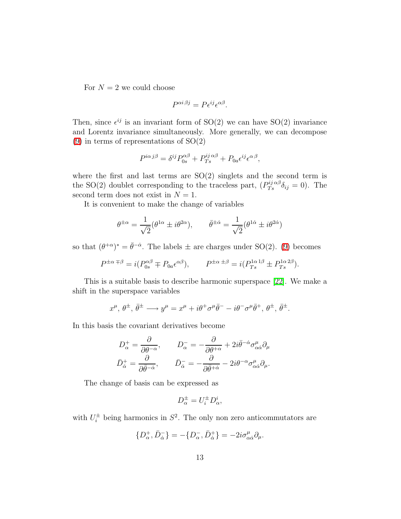For  $N = 2$  we could choose

$$
P^{\alpha i \beta j} = P \epsilon^{ij} \epsilon^{\alpha \beta}.
$$

Then, since  $\epsilon^{ij}$  is an invariant form of SO(2) we can have SO(2) invariance and Lorentz invariance simultaneously. More generally, we can decompose  $(9)$  in terms of representations of  $SO(2)$ 

$$
P^{i\alpha j\beta} = \delta^{ij} P^{\alpha\beta}_{0s} + P^{ij \alpha\beta}_{Ts} + P_{0a} \epsilon^{ij} \epsilon^{\alpha\beta},
$$

where the first and last terms are  $SO(2)$  singlets and the second term is the SO(2) doublet corresponding to the traceless part,  $(P_{Ts}^{ij} \delta_{ij} = 0)$ . The second term does not exist in  $N = 1$ .

It is convenient to make the change of variables

$$
\theta^{\pm \alpha} = \frac{1}{\sqrt{2}} (\theta^{1\alpha} \pm i\theta^{2\alpha}), \qquad \bar{\theta}^{\pm \dot{\alpha}} = \frac{1}{\sqrt{2}} (\theta^{1\dot{\alpha}} \pm i\theta^{2\dot{\alpha}})
$$

so that  $(\theta^{+\alpha})^* = \bar{\theta}^{-\dot{\alpha}}$ . The labels  $\pm$  are charges under SO(2). [\(9\)](#page-11-1) becomes

$$
P^{\pm \alpha \mp \beta} = i(P^{\alpha \beta}_{0s} \mp P_{0a} \epsilon^{\alpha \beta}), \qquad P^{\pm \alpha \pm \beta} = i(P^{\alpha \pm \beta}_{Ts} \pm P^{\alpha \pm \beta}_{Ts}).
$$

This is a suitable basis to describe harmonic superspace [\[22\]](#page-22-2). We make a shift in the superspace variables

$$
x^{\mu}
$$
,  $\theta^{\pm}$ ,  $\bar{\theta}^{\pm}$   $\longrightarrow y^{\mu} = x^{\mu} + i\theta^{+}\sigma^{\mu}\bar{\theta}^{-} - i\theta^{-}\sigma^{\mu}\bar{\theta}^{+}$ ,  $\theta^{\pm}$ ,  $\bar{\theta}^{\pm}$ .

In this basis the covariant derivatives become

$$
D_{\alpha}^{+} = \frac{\partial}{\partial \theta^{-\alpha}}, \qquad D_{\alpha}^{-} = -\frac{\partial}{\partial \theta^{+\alpha}} + 2i \bar{\theta}^{-\dot{\alpha}} \sigma_{\alpha \dot{\alpha}}^{\mu} \partial_{\mu}
$$

$$
\bar{D}_{\dot{\alpha}}^{+} = \frac{\partial}{\partial \bar{\theta}^{-\dot{\alpha}}}, \qquad \bar{D}_{\dot{\alpha}}^{-} = -\frac{\partial}{\partial \bar{\theta}^{+\dot{\alpha}}} - 2i \theta^{-\alpha} \sigma_{\alpha \dot{\alpha}}^{\mu} \partial_{\mu}.
$$

The change of basis can be expressed as

$$
D_{\alpha}^{\pm} = U_i^{\pm} D_{\alpha}^i,
$$

with  $U_i^{\pm}$  being harmonics in  $S^2$ . The only non zero anticommutators are

$$
\{D^+_{\alpha}, \bar{D}^-_{\dot{\alpha}}\} = -\{D^-_{\alpha}, \bar{D}^+_{\dot{\alpha}}\} = -2i\sigma^{\mu}_{\alpha\dot{\alpha}}\partial_{\mu}.
$$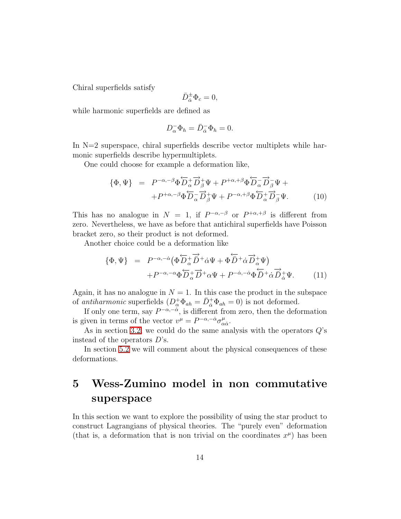Chiral superfields satisfy

$$
\bar D^\pm_{\dot\alpha}\Phi_c=0,
$$

while harmonic superfields are defined as

$$
D_{\alpha}^{-} \Phi_{h} = \bar{D}_{\dot{\alpha}}^{-} \Phi_{h} = 0.
$$

In  $N=2$  superspace, chiral superfields describe vector multiplets while harmonic superfields describe hypermultiplets.

<span id="page-13-1"></span>One could choose for example a deformation like,

$$
\{\Phi, \Psi\} = P^{-\alpha, -\beta} \Phi \overleftarrow{D}_{\alpha}^+ \overrightarrow{D}_{\beta}^+ \Psi + P^{+\alpha, +\beta} \Phi \overleftarrow{D}_{\alpha}^- \overrightarrow{D}_{\beta}^- \Psi + P^{+\alpha, -\beta} \Phi \overleftarrow{D}_{\alpha}^- \overrightarrow{D}_{\beta}^+ \Psi + P^{-\alpha, +\beta} \Phi \overleftarrow{D}_{\alpha}^+ \overrightarrow{D}_{\beta}^- \Psi.
$$
\n(10)

This has no analogue in  $N = 1$ , if  $P^{-\alpha,-\beta}$  or  $P^{+\alpha,+\beta}$  is different from zero. Nevertheless, we have as before that antichiral superfields have Poisson bracket zero, so their product is not deformed.

<span id="page-13-2"></span>Another choice could be a deformation like

$$
\{\Phi, \Psi\} = P^{-\alpha, -\dot{\alpha}} \left( \Phi \overleftrightarrow{D}_{\alpha} + \overrightarrow{D} + \dot{\alpha} \Psi + \Phi \overleftrightarrow{D} + \dot{\alpha} \overleftrightarrow{D}_{\alpha} + \Psi \right) + P^{-\alpha, -\alpha} \Phi \overleftrightarrow{D}_{\alpha} + \overrightarrow{D} + \alpha \Psi + P^{-\dot{\alpha}, -\dot{\alpha}} \Phi \overleftrightarrow{D} + \dot{\alpha} \overleftrightarrow{D}_{\dot{\alpha}} + \Psi.
$$
 (11)

Again, it has no analogue in  $N = 1$ . In this case the product in the subspace of *antiharmonic* superfields  $(D^+_{\alpha} \Phi_{ah} = \bar{D}^+_{\dot{\alpha}} \Phi_{ah} = 0)$  is not deformed.

If only one term, say  $P^{-\alpha,-\dot{\alpha}}$ , is different from zero, then the deformation is given in terms of the vector  $v^{\mu} = P^{-\alpha, -\dot{\alpha}} \sigma_{\alpha}^{\mu}$  $\frac{\mu}{\alpha\dot{\alpha}}$ .

As in section [3.2,](#page-8-0) we could do the same analysis with the operators  $Q$ 's instead of the operators  $D$ 's.

In section [5.2](#page-17-0) we will comment about the physical consequences of these deformations.

## <span id="page-13-0"></span>5 Wess-Zumino model in non commutative superspace

In this section we want to explore the possibility of using the star product to construct Lagrangians of physical theories. The "purely even" deformation (that is, a deformation that is non trivial on the coordinates  $x^{\mu}$ ) has been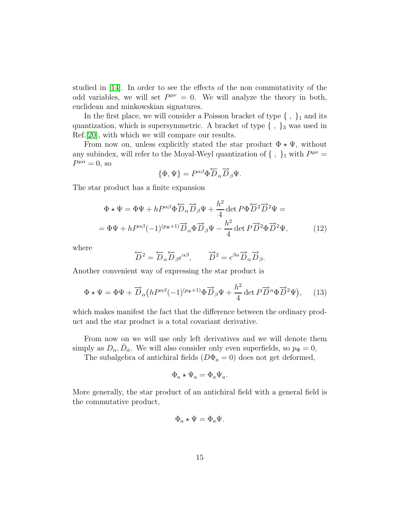studied in [\[14\]](#page-21-7). In order to see the effects of the non commutativity of the odd variables, we will set  $P^{\mu\nu} = 0$ . We will analyze the theory in both, euclidean and minkowskian signatures.

In the first place, we will consider a Poisson bracket of type  $\{\ ,\ \}_1$  and its quantization, which is supersymmetric. A bracket of type  $\{\, ,\, \}_3$  was used in Ref.[\[20\]](#page-22-0), with which we will compare our results.

From now on, unless explicitly stated the star product  $\Phi \star \Psi$ , without any subindex, will refer to the Moyal-Weyl quantization of  $\{\ ,\ \}_1$  with  $P^{\mu\nu}$  =  $P^{\mu\alpha} = 0$ , so

$$
\{\Phi,\Psi\} = P^{\alpha\beta} \Phi \overleftrightarrow{D}_{\alpha} \overrightarrow{D}_{\beta} \Psi.
$$

<span id="page-14-1"></span>The star product has a finite expansion

$$
\Phi \star \Psi = \Phi \Psi + h P^{\alpha \beta} \Phi \overleftrightarrow{D}_{\alpha} \overrightarrow{D}_{\beta} \Psi + \frac{h^2}{4} \det P \Phi \overleftrightarrow{D}^2 \overrightarrow{D}^2 \Psi =
$$
  
=  $\Phi \Psi + h P^{\alpha \beta} (-1)^{(p_{\Phi}+1)} \overrightarrow{D}_{\alpha} \Phi \overrightarrow{D}_{\beta} \Psi - \frac{h^2}{4} \det P \overrightarrow{D}^2 \Phi \overrightarrow{D}^2 \Psi,$  (12)

where

<span id="page-14-0"></span>
$$
\overleftarrow{D}^2 = \overleftarrow{D}_{\alpha} \overleftarrow{D}_{\beta} \epsilon^{\alpha \beta}, \qquad \overrightarrow{D}^2 = \epsilon^{\beta \alpha} \overrightarrow{D}_{\alpha} \overrightarrow{D}_{\beta}.
$$

Another convenient way of expressing the star product is

$$
\Phi \star \Psi = \Phi \Psi + \overrightarrow{D}_{\alpha} \left( h P^{\alpha \beta} (-1)^{(p_{\Phi}+1)} \Phi \overrightarrow{D}_{\beta} \Psi + \frac{h^2}{4} \det P \overrightarrow{D}^{\alpha} \Phi \overrightarrow{D}^2 \Psi \right), \quad (13)
$$

which makes manifest the fact that the difference between the ordinary product and the star product is a total covariant derivative.

From now on we will use only left derivatives and we will denote them simply as  $D_{\alpha}$ ,  $\bar{D}_{\dot{\alpha}}$ . We will also consider only even superfields, so  $p_{\Phi} = 0$ ,

The subalgebra of antichiral fields  $(D\Phi_a = 0)$  does not get deformed,

$$
\Phi_a \star \Psi_a = \Phi_a \Psi_a.
$$

More generally, the star product of an antichiral field with a general field is the commutative product,

$$
\Phi_a \star \Psi = \Phi_a \Psi.
$$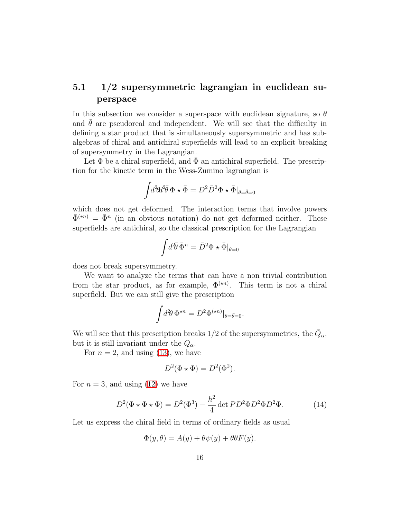### <span id="page-15-1"></span>5.1 1/2 supersymmetric lagrangian in euclidean superspace

In this subsection we consider a superspace with euclidean signature, so  $\theta$ and  $\theta$  are pseudoreal and independent. We will see that the difficulty in defining a star product that is simultaneously supersymmetric and has subalgebras of chiral and antichiral superfields will lead to an explicit breaking of supersymmetry in the Lagrangian.

Let  $\Phi$  be a chiral superfield, and  $\Phi$  an antichiral superfield. The prescription for the kinetic term in the Wess-Zumino lagrangian is

$$
\int d^2\theta d^2\bar{\theta} \Phi \star \bar{\Phi} = D^2 \bar{D}^2 \Phi \star \bar{\Phi}|_{\theta = \bar{\theta} = 0}
$$

which does not get deformed. The interaction terms that involve powers  $\bar{\Phi}^{(\star n)} = \bar{\Phi}^n$  (in an obvious notation) do not get deformed neither. These superfields are antichiral, so the classical prescription for the Lagrangian

$$
\int d^2\!\overline{\theta}\,\bar{\Phi}^n = \bar{D}^2\Phi \star \bar{\Phi}|_{\bar{\theta}=0}
$$

does not break supersymmetry.

We want to analyze the terms that can have a non trivial contribution from the star product, as for example,  $\Phi^{(\star n)}$ . This term is not a chiral superfield. But we can still give the prescription

$$
\int d^2\theta \, \Phi^{\star n} = D^2 \Phi^{(\star n)}|_{\theta = \bar{\theta} = 0}.
$$

We will see that this prescription breaks 1/2 of the supersymmetries, the  $\bar{Q}_{\alpha}$ , but it is still invariant under the  $Q_{\alpha}$ .

For  $n = 2$ , and using [\(13\)](#page-14-0), we have

<span id="page-15-0"></span>
$$
D^2(\Phi \star \Phi) = D^2(\Phi^2).
$$

For  $n = 3$ , and using [\(12\)](#page-14-1) we have

$$
D^2(\Phi \star \Phi \star \Phi) = D^2(\Phi^3) - \frac{h^2}{4} \det PD^2 \Phi D^2 \Phi D^2 \Phi. \tag{14}
$$

Let us express the chiral field in terms of ordinary fields as usual

$$
\Phi(y,\theta) = A(y) + \theta \psi(y) + \theta \theta F(y).
$$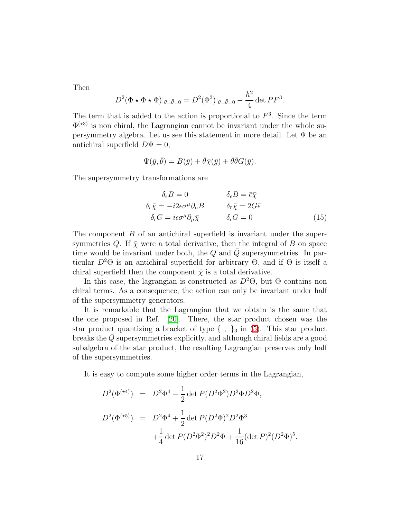Then

$$
D^{2}(\Phi \star \Phi \star \Phi)|_{\theta = \bar{\theta}=0} = D^{2}(\Phi^{3})|_{\theta = \bar{\theta}=0} - \frac{h^{2}}{4} \det PF^{3}.
$$

The term that is added to the action is proportional to  $F<sup>3</sup>$ . Since the term  $\Phi^{(*3)}$  is non chiral, the Lagrangian cannot be invariant under the whole supersymmetry algebra. Let us see this statement in more detail. Let Ψ be an antichiral superfield  $D\Psi = 0$ ,

$$
\Psi(\bar{y}, \bar{\theta}) = B(\bar{y}) + \bar{\theta}\bar{\chi}(\bar{y}) + \bar{\theta}\bar{\theta}G(\bar{y}).
$$

<span id="page-16-0"></span>The supersymmetry transformations are

$$
\delta_{\epsilon}B = 0 \qquad \qquad \delta_{\bar{\epsilon}}B = \bar{\epsilon}\bar{\chi}
$$

$$
\delta_{\epsilon}\bar{\chi} = -i2\epsilon\sigma^{\mu}\partial_{\mu}B \qquad \qquad \delta_{\bar{\epsilon}}\bar{\chi} = 2G\bar{\epsilon}
$$

$$
\delta_{\epsilon}G = i\epsilon\sigma^{\mu}\partial_{\mu}\bar{\chi} \qquad \qquad \delta_{\bar{\epsilon}}G = 0 \qquad (15)
$$

The component B of an antichiral superfield is invariant under the supersymmetries Q. If  $\bar{\chi}$  were a total derivative, then the integral of B on space time would be invariant under both, the  $Q$  and  $\overline{Q}$  supersymmetries. In particular  $D^2\Theta$  is an antichiral superfield for arbitrary  $\Theta$ , and if  $\Theta$  is itself a chiral superfield then the component  $\bar{\chi}$  is a total derivative.

In this case, the lagrangian is constructed as  $D^2\Theta$ , but  $\Theta$  contains non chiral terms. As a consequence, the action can only be invariant under half of the supersymmetry generators.

It is remarkable that the Lagrangian that we obtain is the same that the one proposed in Ref. [\[20\]](#page-22-0). There, the star product chosen was the star product quantizing a bracket of type  $\{\ ,\ \}_3$  in [\(5\)](#page-8-1). This star product breaks the  $Q$  supersymmetries explicitly, and although chiral fields are a good subalgebra of the star product, the resulting Lagrangian preserves only half of the supersymmetries.

It is easy to compute some higher order terms in the Lagrangian,

$$
D^{2}(\Phi^{(*4)}) = D^{2}\Phi^{4} - \frac{1}{2}\det P(D^{2}\Phi^{2})D^{2}\Phi D^{2}\Phi,
$$
  

$$
D^{2}(\Phi^{(*5)}) = D^{2}\Phi^{4} + \frac{1}{2}\det P(D^{2}\Phi)^{2}D^{2}\Phi^{3}
$$

$$
+ \frac{1}{4}\det P(D^{2}\Phi^{2})^{2}D^{2}\Phi + \frac{1}{16}(\det P)^{2}(D^{2}\Phi)^{5}.
$$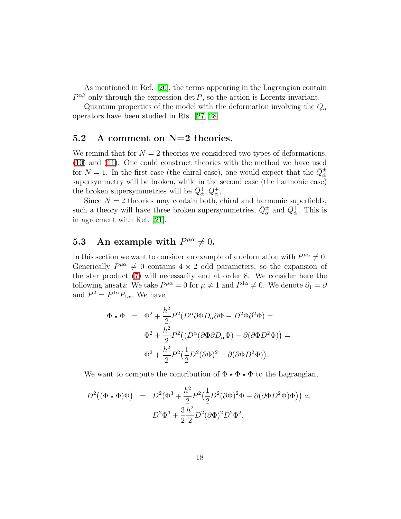As mentioned in Ref. [\[20\]](#page-22-0), the terms appearing in the Lagrangian contain  $P^{\alpha\beta}$  only through the expression det P, so the action is Lorentz invariant.

Quantum properties of the model with the deformation involving the  $Q_{\alpha}$ operators have been studied in Rfs. [\[27,](#page-22-7) [28\]](#page-22-8)

#### <span id="page-17-0"></span>5.2 A comment on N=2 theories.

We remind that for  $N = 2$  theories we considered two types of deformations, [\(10\)](#page-13-1) and [\(11\)](#page-13-2). One could construct theories with the method we have used for  $N = 1$ . In the first case (the chiral case), one would expect that the  $\bar{Q}_{\dot{\alpha}}^{\pm}$ supersymmetry will be broken, while in the second case (the harmonic case) the broken supersymmetries will be  $\bar{Q}^+_{\dot\alpha}, Q^+_{\alpha}$  .

Since  $N = 2$  theories may contain both, chiral and harmonic superfields, such a theory will have three broken supersymmetries,  $\bar{Q}_{\dot{\alpha}}^{\pm}$  and  $\bar{Q}_{\dot{\alpha}}^{+}$ . This is in agreement with Ref. [\[21\]](#page-22-1).

# 5.3 An example with  $P^{\mu\alpha} \neq 0$ .

In this section we want to consider an example of a deformation with  $P^{\mu\alpha} \neq 0$ . Generically  $P^{\mu\alpha} \neq 0$  contains  $4 \times 2$  odd parameters, so the expansion of the star product [\(7\)](#page-9-1) will necessarily end at order 8. We consider here the following ansatz: We take  $P^{\mu\alpha} = 0$  for  $\mu \neq 1$  and  $P^{1\alpha} \neq 0$ . We denote  $\partial_1 = \partial_2$ and  $P^2 = P^{1\alpha} P_{1\alpha}$ . We have

$$
\Phi \star \Phi = \Phi^2 + \frac{h^2}{2} P^2 (D^{\alpha} \partial \Phi D_{\alpha} \partial \Phi - D^2 \Phi \partial^2 \Phi) =
$$
  

$$
\Phi^2 + \frac{h^2}{2} P^2 ((D^{\alpha} (\partial \Phi \partial D_{\alpha} \Phi) - \partial (\partial \Phi D^2 \Phi)) =
$$
  

$$
\Phi^2 + \frac{h^2}{2} P^2 (\frac{1}{2} D^2 (\partial \Phi)^2 - \partial (\partial \Phi D^2 \Phi)).
$$

We want to compute the contribution of  $\Phi \star \Phi \star \Phi$  to the Lagrangian,

$$
D^2((\Phi \star \Phi)\Phi) = D^2(\Phi^3 + \frac{h^2}{2}P^2(\frac{1}{2}D^2(\partial \Phi)^2\Phi - \partial(\partial \Phi D^2\Phi)\Phi)) \simeq
$$
  

$$
D^2\Phi^3 + \frac{3}{2}\frac{h^2}{2}D^2(\partial \Phi)^2D^2\Phi^2,
$$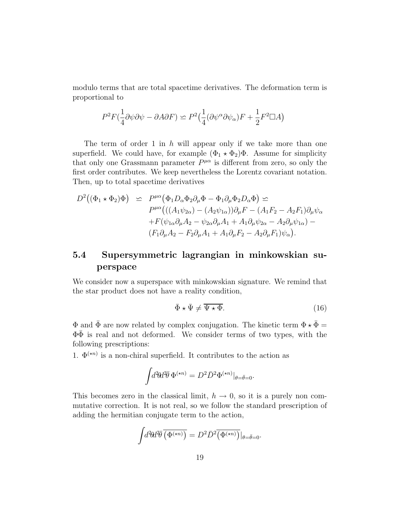modulo terms that are total spacetime derivatives. The deformation term is proportional to

$$
P^2F(\frac{1}{4}\partial\psi\partial\psi - \partial A\partial F) \simeq P^2(\frac{1}{4}(\partial\psi^{\alpha}\partial\psi_{\alpha})F + \frac{1}{2}F^2\Box A)
$$

The term of order 1 in  $h$  will appear only if we take more than one superfield. We could have, for example  $(\Phi_1 \star \Phi_2)\Phi$ . Assume for simplicity that only one Grassmann parameter  $P^{\mu\alpha}$  is different from zero, so only the first order contributes. We keep nevertheless the Lorentz covariant notation. Then, up to total spacetime derivatives

$$
D^{2}((\Phi_{1} \star \Phi_{2})\Phi) \simeq P^{\mu\alpha}(\Phi_{1}D_{\alpha}\Phi_{2}\partial_{\mu}\Phi - \Phi_{1}\partial_{\mu}\Phi_{2}D_{\alpha}\Phi) \simeq
$$
  
\n
$$
P^{\mu\alpha}(((A_{1}\psi_{2\alpha}) - (A_{2}\psi_{1\alpha}))\partial_{\mu}F - (A_{1}F_{2} - A_{2}F_{1})\partial_{\mu}\psi_{\alpha}
$$
  
\n
$$
+ F(\psi_{1\alpha}\partial_{\mu}A_{2} - \psi_{2\alpha}\partial_{\mu}A_{1} + A_{1}\partial_{\mu}\psi_{2\alpha} - A_{2}\partial_{\mu}\psi_{1\alpha}) -
$$
  
\n
$$
(F_{1}\partial_{\mu}A_{2} - F_{2}\partial_{\mu}A_{1} + A_{1}\partial_{\mu}F_{2} - A_{2}\partial_{\mu}F_{1})\psi_{\alpha}).
$$

### <span id="page-18-0"></span>5.4 Supersymmetric lagrangian in minkowskian superspace

We consider now a superspace with minkowskian signature. We remind that the star product does not have a reality condition,

<span id="page-18-1"></span>
$$
\bar{\Phi} \star \bar{\Psi} \neq \overline{\Psi \star \Phi}.
$$
 (16)

 $\Phi$  and  $\bar{\Phi}$  are now related by complex conjugation. The kinetic term  $\Phi \star \bar{\Phi} = \Phi$  $\Phi\bar{\Phi}$  is real and not deformed. We consider terms of two types, with the following prescriptions:

1.  $\Phi^{(\star n)}$  is a non-chiral superfield. It contributes to the action as

$$
\int d^2\theta d^2\overline{\theta} \, \Phi^{(\star n)} = D^2 \overline{D}^2 \Phi^{(\star n)}|_{\theta = \overline{\theta} = 0}.
$$

This becomes zero in the classical limit,  $h \to 0$ , so it is a purely non commutative correction. It is not real, so we follow the standard prescription of adding the hermitian conjugate term to the action,

$$
\int d^2\theta d^2\overline{\theta} \, \overline{\left(\Phi^{(*n)}\right)} = D^2 \overline{D}^2 \overline{\left(\Phi^{(*n)}\right)} \big|_{\theta = \overline{\theta} = 0}.
$$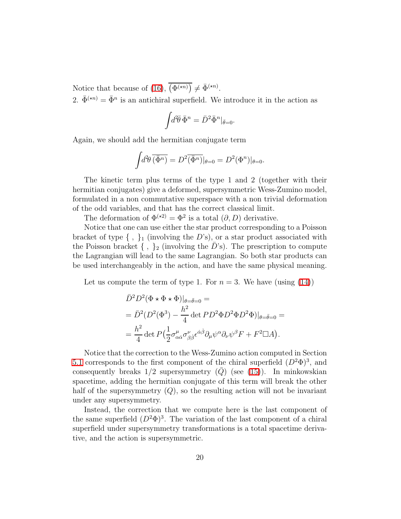Notice that because of [\(16\)](#page-18-1),  $\overline{(\Phi^{(n)})} \neq \overline{\Phi}^{(n)}$ .

2.  $\bar{\Phi}^{(\star n)} = \bar{\Phi}^n$  is an antichiral superfield. We introduce it in the action as

$$
\int d^2\bar{\theta} \,\bar{\Phi}^n = \bar{D}^2 \bar{\Phi}^n|_{\bar{\theta}=0}.
$$

Again, we should add the hermitian conjugate term

$$
\int d^2\theta \,\overline{\left(\bar{\Phi}^n\right)} = D^2 \overline{\left(\bar{\Phi}^n\right)}|_{\theta=0} = D^2(\Phi^n)|_{\theta=0}.
$$

The kinetic term plus terms of the type 1 and 2 (together with their hermitian conjugates) give a deformed, supersymmetric Wess-Zumino model, formulated in a non commutative superspace with a non trivial deformation of the odd variables, and that has the correct classical limit.

The deformation of  $\Phi^{(\star 2)} = \Phi^2$  is a total  $(\partial, D)$  derivative.

Notice that one can use either the star product corresponding to a Poisson bracket of type  $\{\ ,\ \}_1$  (involving the D's), or a star product associated with the Poisson bracket  $\{\ ,\ \}_2$  (involving the D's). The prescription to compute the Lagrangian will lead to the same Lagrangian. So both star products can be used interchangeably in the action, and have the same physical meaning.

Let us compute the term of type 1. For  $n = 3$ . We have (using [\(14\)](#page-15-0))

$$
\bar{D}^2 D^2 (\Phi \star \Phi \star \Phi)|_{\theta = \bar{\theta} = 0} =
$$
\n
$$
= \bar{D}^2 (D^2 (\Phi^3) - \frac{h^2}{4} \det PD^2 \Phi D^2 \Phi D^2 \Phi)|_{\theta = \bar{\theta} = 0} =
$$
\n
$$
= \frac{h^2}{4} \det P \left( \frac{1}{2} \sigma^{\mu}_{\alpha \dot{\alpha}} \sigma^{\nu}_{\beta \dot{\beta}} \epsilon^{\dot{\alpha} \dot{\beta}} \partial_{\mu} \psi^{\alpha} \partial_{\nu} \psi^{\beta} F + F^2 \Box A \right).
$$

Notice that the correction to the Wess-Zumino action computed in Section [5.1](#page-15-1) corresponds to the first component of the chiral superfield  $(D^2\Phi)^3$ , and consequently breaks  $1/2$  supersymmetry  $(Q)$  (see [\(15\)](#page-16-0)). In minkowskian spacetime, adding the hermitian conjugate of this term will break the other half of the supersymmetry  $(Q)$ , so the resulting action will not be invariant under any supersymmetry.

Instead, the correction that we compute here is the last component of the same superfield  $(D^2\Phi)^3$ . The variation of the last component of a chiral superfield under supersymmetry transformations is a total spacetime derivative, and the action is supersymmetric.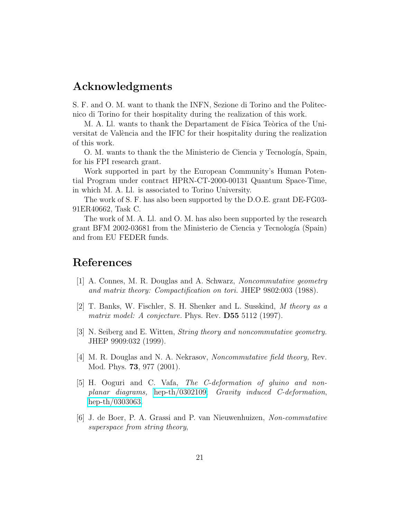### Acknowledgments

S. F. and O. M. want to thank the INFN, Sezione di Torino and the Politecnico di Torino for their hospitality during the realization of this work.

M. A. Ll. wants to thank the Departament de Física Teòrica of the Universitat de València and the IFIC for their hospitality during the realization of this work.

O. M. wants to thank the the Ministerio de Ciencia y Tecnología, Spain, for his FPI research grant.

Work supported in part by the European Community's Human Potential Program under contract HPRN-CT-2000-00131 Quantum Space-Time, in which M. A. Ll. is associated to Torino University.

The work of S. F. has also been supported by the D.O.E. grant DE-FG03- 91ER40662, Task C.

The work of M. A. Ll. and O. M. has also been supported by the research grant BFM 2002-03681 from the Ministerio de Ciencia y Tecnología (Spain) and from EU FEDER funds.

### <span id="page-20-0"></span>References

- <span id="page-20-1"></span>[1] A. Connes, M. R. Douglas and A. Schwarz, *Noncommutative geometry and matrix theory: Compactification on tori.* JHEP 9802:003 (1988).
- [2] T. Banks, W. Fischler, S. H. Shenker and L. Susskind, *M theory as a matrix model: A conjecture.* Phys. Rev. D55 5112 (1997).
- <span id="page-20-2"></span>[3] N. Seiberg and E. Witten, *String theory and noncommutative geometry.* JHEP 9909:032 (1999).
- <span id="page-20-4"></span><span id="page-20-3"></span>[4] M. R. Douglas and N. A. Nekrasov, *Noncommutative field theory,* Rev. Mod. Phys. 73, 977 (2001).
- [5] H. Ooguri and C. Vafa, *The C-deformation of gluino and nonplanar diagrams,* [hep-th/0302109;](http://arXiv.org/abs/hep-th/0302109) *Gravity induced C-deformation*, [hep-th/0303063.](http://arXiv.org/abs/hep-th/0303063)
- <span id="page-20-5"></span>[6] J. de Boer, P. A. Grassi and P. van Nieuwenhuizen, *Non-commutative superspace from string theory*,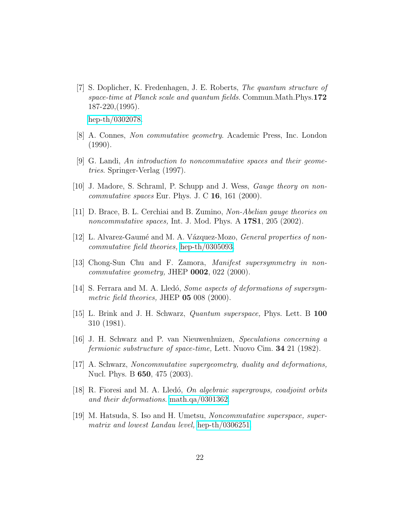<span id="page-21-0"></span>[7] S. Doplicher, K. Fredenhagen, J. E. Roberts, *The quantum structure of space-time at Planck scale and quantum fields*. Commun.Math.Phys.172 187-220,(1995).

[hep-th/0302078.](http://arXiv.org/abs/hep-th/0302078)

- <span id="page-21-2"></span><span id="page-21-1"></span>[8] A. Connes, *Non commutative geometry*. Academic Press, Inc. London (1990).
- [9] G. Landi, *An introduction to noncommutative spaces and their geometries*. Springer-Verlag (1997).
- <span id="page-21-4"></span><span id="page-21-3"></span>[10] J. Madore, S. Schraml, P. Schupp and J. Wess, *Gauge theory on noncommutative spaces* Eur. Phys. J. C 16, 161 (2000).
- <span id="page-21-5"></span>[11] D. Brace, B. L. Cerchiai and B. Zumino, *Non-Abelian gauge theories on noncommutative spaces,* Int. J. Mod. Phys. A 17S1, 205 (2002).
- <span id="page-21-6"></span>[12] L. Alvarez-Gaumé and M. A. Vázquez-Mozo, *General properties of noncommutative field theories,* [hep-th/0305093.](http://arXiv.org/abs/hep-th/0305093)
- <span id="page-21-7"></span>[13] Chong-Sun Chu and F. Zamora, *Manifest supersymmetry in noncommutative geometry,* JHEP 0002, 022 (2000).
- [14] S. Ferrara and M. A. Lled´o, *Some aspects of deformations of supersymmetric field theories,* JHEP 05 008 (2000).
- <span id="page-21-8"></span>[15] L. Brink and J. H. Schwarz, *Quantum superspace,* Phys. Lett. B 100 310 (1981).
- <span id="page-21-9"></span>[16] J. H. Schwarz and P. van Nieuwenhuizen, *Speculations concerning a fermionic substructure of space-time,* Lett. Nuovo Cim. 34 21 (1982).
- <span id="page-21-11"></span><span id="page-21-10"></span>[17] A. Schwarz, *Noncommutative supergeometry, duality and deformations,* Nucl. Phys. B 650, 475 (2003).
- [18] R. Fioresi and M. A. Lled´o, *On algebraic supergroups, coadjoint orbits and their deformations*. [math.qa/0301362.](http://arXiv.org/abs/math/0301362)
- <span id="page-21-12"></span>[19] M. Hatsuda, S. Iso and H. Umetsu, *Noncommutative superspace, supermatrix and lowest Landau level,* [hep-th/0306251.](http://arXiv.org/abs/hep-th/0306251)